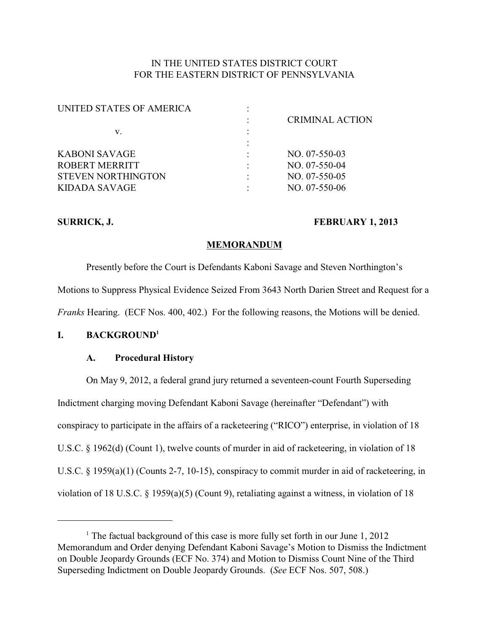## IN THE UNITED STATES DISTRICT COURT FOR THE EASTERN DISTRICT OF PENNSYLVANIA

| UNITED STATES OF AMERICA  |   |                        |
|---------------------------|---|------------------------|
|                           |   | <b>CRIMINAL ACTION</b> |
| v.                        | ٠ |                        |
|                           |   |                        |
| KABONI SAVAGE             |   | $NO. 07-550-03$        |
| ROBERT MERRITT            |   | $NO. 07-550-04$        |
| <b>STEVEN NORTHINGTON</b> |   | $NO. 07-550-05$        |
| KIDADA SAVAGE             |   | $NO. 07-550-06$        |
|                           |   |                        |

### SURRICK, J. **FEBRUARY 1, 2013**

## **MEMORANDUM**

Presently before the Court is Defendants Kaboni Savage and Steven Northington's Motions to Suppress Physical Evidence Seized From 3643 North Darien Street and Request for a *Franks* Hearing. (ECF Nos. 400, 402.) For the following reasons, the Motions will be denied.

## **I. BACKGROUND<sup>1</sup>**

### **A. Procedural History**

On May 9, 2012, a federal grand jury returned a seventeen-count Fourth Superseding Indictment charging moving Defendant Kaboni Savage (hereinafter "Defendant") with conspiracy to participate in the affairs of a racketeering ("RICO") enterprise, in violation of 18 U.S.C. § 1962(d) (Count 1), twelve counts of murder in aid of racketeering, in violation of 18 U.S.C. § 1959(a)(1) (Counts 2-7, 10-15), conspiracy to commit murder in aid of racketeering, in violation of 18 U.S.C. § 1959(a)(5) (Count 9), retaliating against a witness, in violation of 18

<sup>&</sup>lt;sup>1</sup> The factual background of this case is more fully set forth in our June  $1, 2012$ Memorandum and Order denying Defendant Kaboni Savage's Motion to Dismiss the Indictment on Double Jeopardy Grounds (ECF No. 374) and Motion to Dismiss Count Nine of the Third Superseding Indictment on Double Jeopardy Grounds. (*See* ECF Nos. 507, 508.)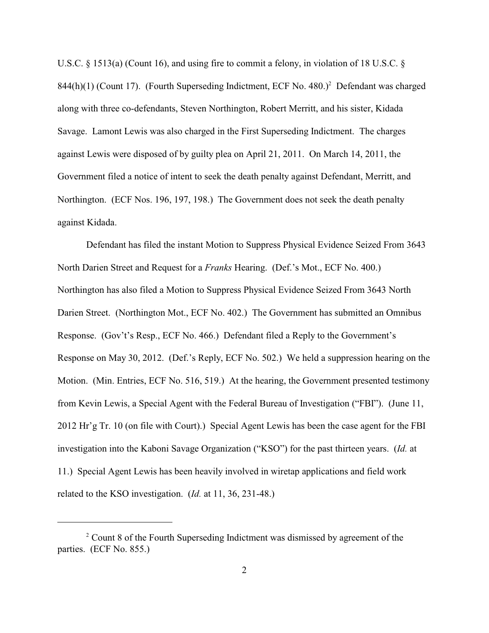U.S.C. § 1513(a) (Count 16), and using fire to commit a felony, in violation of 18 U.S.C. §  $844(h)(1)$  (Count 17). (Fourth Superseding Indictment, ECF No. 480.)<sup>2</sup> Defendant was charged along with three co-defendants, Steven Northington, Robert Merritt, and his sister, Kidada Savage. Lamont Lewis was also charged in the First Superseding Indictment. The charges against Lewis were disposed of by guilty plea on April 21, 2011. On March 14, 2011, the Government filed a notice of intent to seek the death penalty against Defendant, Merritt, and Northington. (ECF Nos. 196, 197, 198.) The Government does not seek the death penalty against Kidada.

Defendant has filed the instant Motion to Suppress Physical Evidence Seized From 3643 North Darien Street and Request for a *Franks* Hearing. (Def.'s Mot., ECF No. 400.) Northington has also filed a Motion to Suppress Physical Evidence Seized From 3643 North Darien Street. (Northington Mot., ECF No. 402.) The Government has submitted an Omnibus Response. (Gov't's Resp., ECF No. 466.) Defendant filed a Reply to the Government's Response on May 30, 2012. (Def.'s Reply, ECF No. 502.) We held a suppression hearing on the Motion. (Min. Entries, ECF No. 516, 519.) At the hearing, the Government presented testimony from Kevin Lewis, a Special Agent with the Federal Bureau of Investigation ("FBI"). (June 11, 2012 Hr'g Tr. 10 (on file with Court).) Special Agent Lewis has been the case agent for the FBI investigation into the Kaboni Savage Organization ("KSO") for the past thirteen years. (*Id.* at 11.) Special Agent Lewis has been heavily involved in wiretap applications and field work related to the KSO investigation. (*Id.* at 11, 36, 231-48.)

 $2^{\circ}$  Count 8 of the Fourth Superseding Indictment was dismissed by agreement of the parties. (ECF No. 855.)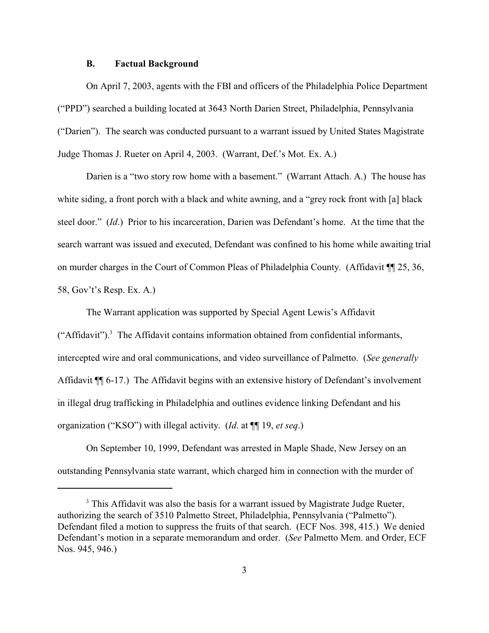#### **B. Factual Background**

On April 7, 2003, agents with the FBI and officers of the Philadelphia Police Department ("PPD") searched a building located at 3643 North Darien Street, Philadelphia, Pennsylvania ("Darien"). The search was conducted pursuant to a warrant issued by United States Magistrate Judge Thomas J. Rueter on April 4, 2003. (Warrant, Def.'s Mot. Ex. A.)

Darien is a "two story row home with a basement." (Warrant Attach. A.) The house has white siding, a front porch with a black and white awning, and a "grey rock front with [a] black steel door." (*Id*.) Prior to his incarceration, Darien was Defendant's home. At the time that the search warrant was issued and executed, Defendant was confined to his home while awaiting trial on murder charges in the Court of Common Pleas of Philadelphia County. (Affidavit ¶¶ 25, 36, 58, Gov't's Resp. Ex. A.)

The Warrant application was supported by Special Agent Lewis's Affidavit ("Affidavit").<sup>3</sup> The Affidavit contains information obtained from confidential informants, intercepted wire and oral communications, and video surveillance of Palmetto. (*See generally* Affidavit ¶¶ 6-17.) The Affidavit begins with an extensive history of Defendant's involvement in illegal drug trafficking in Philadelphia and outlines evidence linking Defendant and his organization ("KSO") with illegal activity. (*Id*. at ¶¶ 19, *et seq*.)

On September 10, 1999, Defendant was arrested in Maple Shade, New Jersey on an outstanding Pennsylvania state warrant, which charged him in connection with the murder of

<sup>&</sup>lt;sup>3</sup> This Affidavit was also the basis for a warrant issued by Magistrate Judge Rueter, authorizing the search of 3510 Palmetto Street, Philadelphia, Pennsylvania ("Palmetto"). Defendant filed a motion to suppress the fruits of that search. (ECF Nos. 398, 415.) We denied Defendant's motion in a separate memorandum and order. (*See* Palmetto Mem. and Order, ECF Nos. 945, 946.)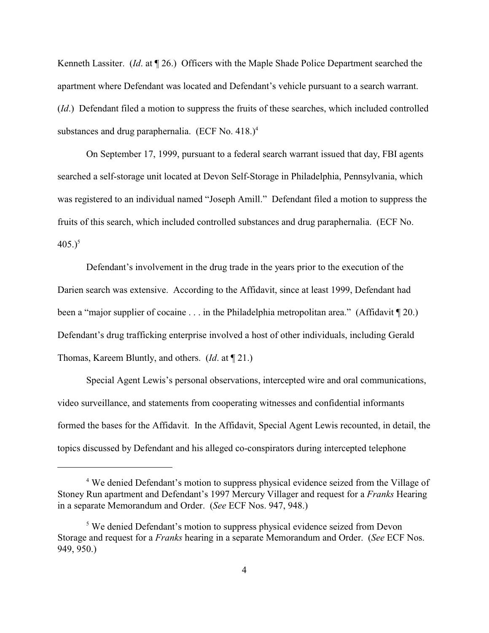Kenneth Lassiter. (*Id*. at ¶ 26.) Officers with the Maple Shade Police Department searched the apartment where Defendant was located and Defendant's vehicle pursuant to a search warrant. (*Id*.) Defendant filed a motion to suppress the fruits of these searches, which included controlled substances and drug paraphernalia. (ECF No. 418.)<sup>4</sup>

On September 17, 1999, pursuant to a federal search warrant issued that day, FBI agents searched a self-storage unit located at Devon Self-Storage in Philadelphia, Pennsylvania, which was registered to an individual named "Joseph Amill." Defendant filed a motion to suppress the fruits of this search, which included controlled substances and drug paraphernalia. (ECF No.  $405.$ <sup>5</sup>

Defendant's involvement in the drug trade in the years prior to the execution of the Darien search was extensive. According to the Affidavit, since at least 1999, Defendant had been a "major supplier of cocaine . . . in the Philadelphia metropolitan area." (Affidavit [20.) Defendant's drug trafficking enterprise involved a host of other individuals, including Gerald Thomas, Kareem Bluntly, and others. (*Id*. at ¶ 21.)

Special Agent Lewis's personal observations, intercepted wire and oral communications, video surveillance, and statements from cooperating witnesses and confidential informants formed the bases for the Affidavit. In the Affidavit, Special Agent Lewis recounted, in detail, the topics discussed by Defendant and his alleged co-conspirators during intercepted telephone

<sup>&</sup>lt;sup>4</sup> We denied Defendant's motion to suppress physical evidence seized from the Village of Stoney Run apartment and Defendant's 1997 Mercury Villager and request for a *Franks* Hearing in a separate Memorandum and Order. (*See* ECF Nos. 947, 948.)

<sup>&</sup>lt;sup>5</sup> We denied Defendant's motion to suppress physical evidence seized from Devon Storage and request for a *Franks* hearing in a separate Memorandum and Order. (*See* ECF Nos. 949, 950.)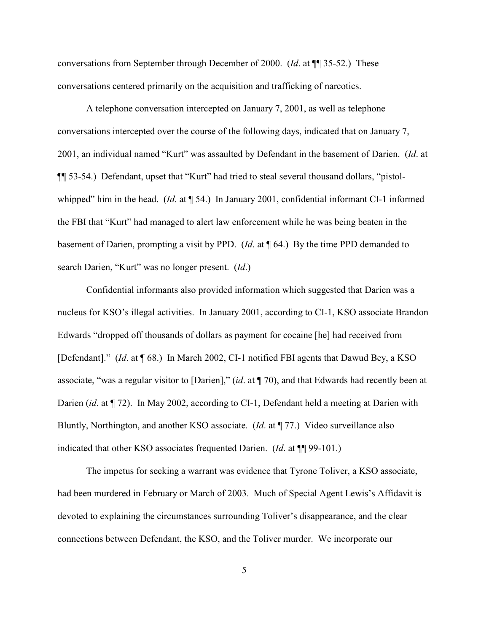conversations from September through December of 2000. (*Id*. at ¶¶ 35-52.) These conversations centered primarily on the acquisition and trafficking of narcotics.

A telephone conversation intercepted on January 7, 2001, as well as telephone conversations intercepted over the course of the following days, indicated that on January 7, 2001, an individual named "Kurt" was assaulted by Defendant in the basement of Darien. (*Id*. at ¶¶ 53-54.) Defendant, upset that "Kurt" had tried to steal several thousand dollars, "pistolwhipped" him in the head. (*Id.* at  $\P$  54.) In January 2001, confidential informant CI-1 informed the FBI that "Kurt" had managed to alert law enforcement while he was being beaten in the basement of Darien, prompting a visit by PPD. (*Id*. at ¶ 64.) By the time PPD demanded to search Darien, "Kurt" was no longer present. (*Id*.)

Confidential informants also provided information which suggested that Darien was a nucleus for KSO's illegal activities. In January 2001, according to CI-1, KSO associate Brandon Edwards "dropped off thousands of dollars as payment for cocaine [he] had received from [Defendant]." (*Id*. at ¶ 68.) In March 2002, CI-1 notified FBI agents that Dawud Bey, a KSO associate, "was a regular visitor to [Darien]," (*id*. at ¶ 70), and that Edwards had recently been at Darien *(id.* at  $\P$  72). In May 2002, according to CI-1, Defendant held a meeting at Darien with Bluntly, Northington, and another KSO associate. (*Id*. at ¶ 77.) Video surveillance also indicated that other KSO associates frequented Darien. (*Id*. at ¶¶ 99-101.)

The impetus for seeking a warrant was evidence that Tyrone Toliver, a KSO associate, had been murdered in February or March of 2003. Much of Special Agent Lewis's Affidavit is devoted to explaining the circumstances surrounding Toliver's disappearance, and the clear connections between Defendant, the KSO, and the Toliver murder. We incorporate our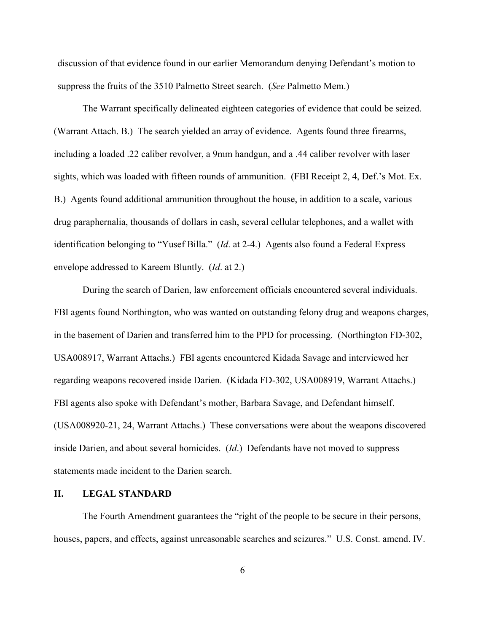discussion of that evidence found in our earlier Memorandum denying Defendant's motion to suppress the fruits of the 3510 Palmetto Street search. (*See* Palmetto Mem.)

The Warrant specifically delineated eighteen categories of evidence that could be seized. (Warrant Attach. B.) The search yielded an array of evidence. Agents found three firearms, including a loaded .22 caliber revolver, a 9mm handgun, and a .44 caliber revolver with laser sights, which was loaded with fifteen rounds of ammunition. (FBI Receipt 2, 4, Def.'s Mot. Ex. B.) Agents found additional ammunition throughout the house, in addition to a scale, various drug paraphernalia, thousands of dollars in cash, several cellular telephones, and a wallet with identification belonging to "Yusef Billa." (*Id*. at 2-4.) Agents also found a Federal Express envelope addressed to Kareem Bluntly. (*Id*. at 2.)

During the search of Darien, law enforcement officials encountered several individuals. FBI agents found Northington, who was wanted on outstanding felony drug and weapons charges, in the basement of Darien and transferred him to the PPD for processing. (Northington FD-302, USA008917, Warrant Attachs.) FBI agents encountered Kidada Savage and interviewed her regarding weapons recovered inside Darien. (Kidada FD-302, USA008919, Warrant Attachs.) FBI agents also spoke with Defendant's mother, Barbara Savage, and Defendant himself. (USA008920-21, 24, Warrant Attachs.) These conversations were about the weapons discovered inside Darien, and about several homicides. (*Id*.) Defendants have not moved to suppress statements made incident to the Darien search.

## **II. LEGAL STANDARD**

The Fourth Amendment guarantees the "right of the people to be secure in their persons, houses, papers, and effects, against unreasonable searches and seizures." U.S. Const. amend. IV.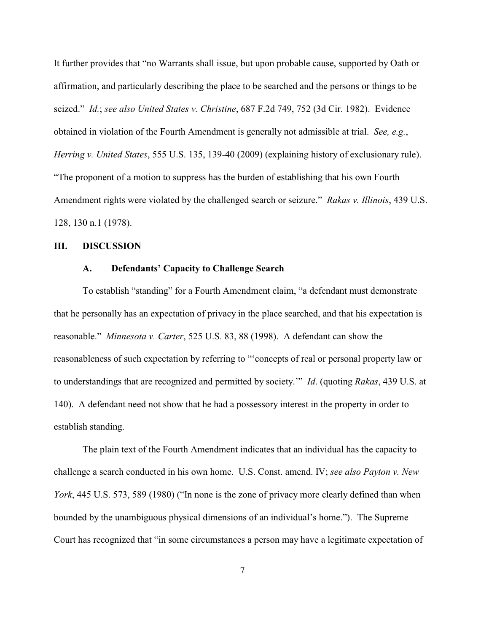It further provides that "no Warrants shall issue, but upon probable cause, supported by Oath or affirmation, and particularly describing the place to be searched and the persons or things to be seized." *Id.*; *see also United States v. Christine*, 687 F.2d 749, 752 (3d Cir. 1982).Evidence obtained in violation of the Fourth Amendment is generally not admissible at trial. *See, e.g.*, *Herring v. United States*, 555 U.S. 135, 139-40 (2009) (explaining history of exclusionary rule). "The proponent of a motion to suppress has the burden of establishing that his own Fourth Amendment rights were violated by the challenged search or seizure." *Rakas v. Illinois*, 439 U.S. 128, 130 n.1 (1978).

#### **III. DISCUSSION**

## **A. Defendants' Capacity to Challenge Search**

To establish "standing" for a Fourth Amendment claim, "a defendant must demonstrate that he personally has an expectation of privacy in the place searched, and that his expectation is reasonable." *Minnesota v. Carter*, 525 U.S. 83, 88 (1998). A defendant can show the reasonableness of such expectation by referring to "'concepts of real or personal property law or to understandings that are recognized and permitted by society.'" *Id*. (quoting *Rakas*, 439 U.S. at 140). A defendant need not show that he had a possessory interest in the property in order to establish standing.

The plain text of the Fourth Amendment indicates that an individual has the capacity to challenge a search conducted in his own home. U.S. Const. amend. IV; *see also Payton v. New York*, 445 U.S. 573, 589 (1980) ("In none is the zone of privacy more clearly defined than when bounded by the unambiguous physical dimensions of an individual's home."). The Supreme Court has recognized that "in some circumstances a person may have a legitimate expectation of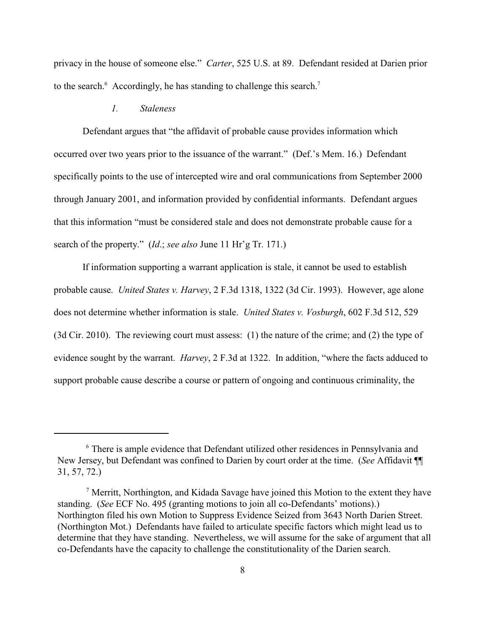privacy in the house of someone else." *Carter*, 525 U.S. at 89. Defendant resided at Darien prior to the search. $\delta$  Accordingly, he has standing to challenge this search.<sup>7</sup>

## *1. Staleness*

Defendant argues that "the affidavit of probable cause provides information which occurred over two years prior to the issuance of the warrant." (Def.'s Mem. 16.) Defendant specifically points to the use of intercepted wire and oral communications from September 2000 through January 2001, and information provided by confidential informants. Defendant argues that this information "must be considered stale and does not demonstrate probable cause for a search of the property." (*Id*.; *see also* June 11 Hr'g Tr. 171.)

If information supporting a warrant application is stale, it cannot be used to establish probable cause. *United States v. Harvey*, 2 F.3d 1318, 1322 (3d Cir. 1993). However, age alone does not determine whether information is stale. *United States v. Vosburgh*, 602 F.3d 512, 529 (3d Cir. 2010). The reviewing court must assess: (1) the nature of the crime; and (2) the type of evidence sought by the warrant. *Harvey*, 2 F.3d at 1322. In addition, "where the facts adduced to support probable cause describe a course or pattern of ongoing and continuous criminality, the

<sup>&</sup>lt;sup>6</sup> There is ample evidence that Defendant utilized other residences in Pennsylvania and New Jersey, but Defendant was confined to Darien by court order at the time. (*See* Affidavit ¶¶ 31, 57, 72.)

 $\alpha$ <sup>7</sup> Merritt, Northington, and Kidada Savage have joined this Motion to the extent they have standing. (*See* ECF No. 495 (granting motions to join all co-Defendants' motions).) Northington filed his own Motion to Suppress Evidence Seized from 3643 North Darien Street. (Northington Mot.) Defendants have failed to articulate specific factors which might lead us to determine that they have standing. Nevertheless, we will assume for the sake of argument that all co-Defendants have the capacity to challenge the constitutionality of the Darien search.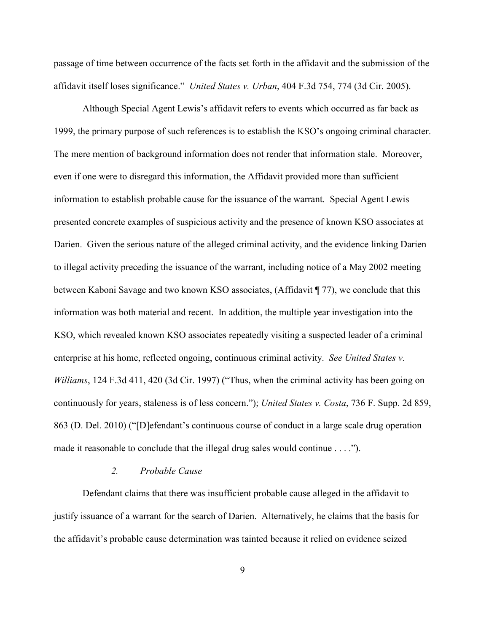passage of time between occurrence of the facts set forth in the affidavit and the submission of the affidavit itself loses significance." *United States v. Urban*, 404 F.3d 754, 774 (3d Cir. 2005).

Although Special Agent Lewis's affidavit refers to events which occurred as far back as 1999, the primary purpose of such references is to establish the KSO's ongoing criminal character. The mere mention of background information does not render that information stale. Moreover, even if one were to disregard this information, the Affidavit provided more than sufficient information to establish probable cause for the issuance of the warrant. Special Agent Lewis presented concrete examples of suspicious activity and the presence of known KSO associates at Darien. Given the serious nature of the alleged criminal activity, and the evidence linking Darien to illegal activity preceding the issuance of the warrant, including notice of a May 2002 meeting between Kaboni Savage and two known KSO associates, (Affidavit ¶ 77), we conclude that this information was both material and recent. In addition, the multiple year investigation into the KSO, which revealed known KSO associates repeatedly visiting a suspected leader of a criminal enterprise at his home, reflected ongoing, continuous criminal activity. *See United States v. Williams*, 124 F.3d 411, 420 (3d Cir. 1997) ("Thus, when the criminal activity has been going on continuously for years, staleness is of less concern."); *United States v. Costa*, 736 F. Supp. 2d 859, 863 (D. Del. 2010) ("[D]efendant's continuous course of conduct in a large scale drug operation made it reasonable to conclude that the illegal drug sales would continue . . . .").

### *2. Probable Cause*

Defendant claims that there was insufficient probable cause alleged in the affidavit to justify issuance of a warrant for the search of Darien. Alternatively, he claims that the basis for the affidavit's probable cause determination was tainted because it relied on evidence seized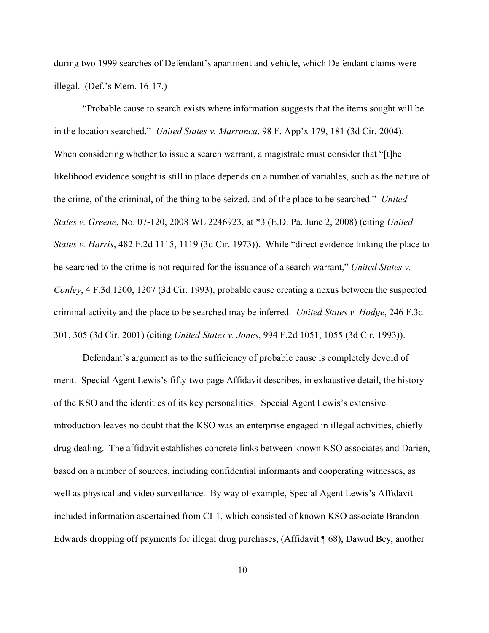during two 1999 searches of Defendant's apartment and vehicle, which Defendant claims were illegal. (Def.'s Mem. 16-17.)

"Probable cause to search exists where information suggests that the items sought will be in the location searched." *United States v. Marranca*, 98 F. App'x 179, 181 (3d Cir. 2004). When considering whether to issue a search warrant, a magistrate must consider that "[t]he likelihood evidence sought is still in place depends on a number of variables, such as the nature of the crime, of the criminal, of the thing to be seized, and of the place to be searched." *United States v. Greene*, No. 07-120, 2008 WL 2246923, at \*3 (E.D. Pa. June 2, 2008) (citing *United States v. Harris*, 482 F.2d 1115, 1119 (3d Cir. 1973)). While "direct evidence linking the place to be searched to the crime is not required for the issuance of a search warrant," *United States v. Conley*, 4 F.3d 1200, 1207 (3d Cir. 1993), probable cause creating a nexus between the suspected criminal activity and the place to be searched may be inferred. *United States v. Hodge*, 246 F.3d 301, 305 (3d Cir. 2001) (citing *United States v. Jones*, 994 F.2d 1051, 1055 (3d Cir. 1993)).

Defendant's argument as to the sufficiency of probable cause is completely devoid of merit. Special Agent Lewis's fifty-two page Affidavit describes, in exhaustive detail, the history of the KSO and the identities of its key personalities. Special Agent Lewis's extensive introduction leaves no doubt that the KSO was an enterprise engaged in illegal activities, chiefly drug dealing. The affidavit establishes concrete links between known KSO associates and Darien, based on a number of sources, including confidential informants and cooperating witnesses, as well as physical and video surveillance. By way of example, Special Agent Lewis's Affidavit included information ascertained from CI-1, which consisted of known KSO associate Brandon Edwards dropping off payments for illegal drug purchases, (Affidavit ¶ 68), Dawud Bey, another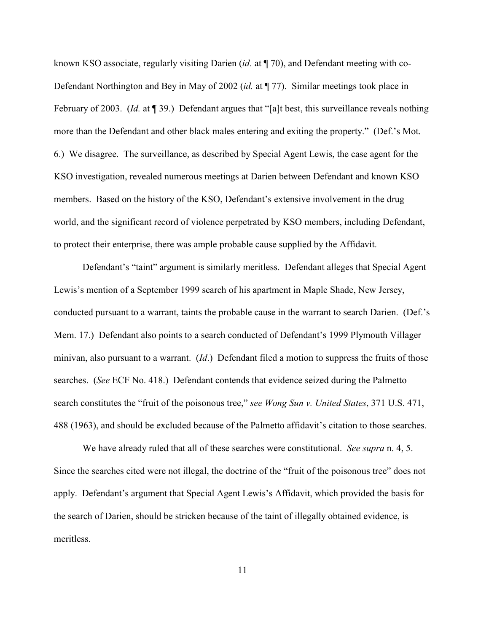known KSO associate, regularly visiting Darien (*id.* at ¶ 70), and Defendant meeting with co-Defendant Northington and Bey in May of 2002 (*id.* at ¶ 77). Similar meetings took place in February of 2003. (*Id.* at ¶ 39.) Defendant argues that "[a]t best, this surveillance reveals nothing more than the Defendant and other black males entering and exiting the property." (Def.'s Mot. 6.) We disagree. The surveillance, as described by Special Agent Lewis, the case agent for the KSO investigation, revealed numerous meetings at Darien between Defendant and known KSO members. Based on the history of the KSO, Defendant's extensive involvement in the drug world, and the significant record of violence perpetrated by KSO members, including Defendant, to protect their enterprise, there was ample probable cause supplied by the Affidavit.

Defendant's "taint" argument is similarly meritless. Defendant alleges that Special Agent Lewis's mention of a September 1999 search of his apartment in Maple Shade, New Jersey, conducted pursuant to a warrant, taints the probable cause in the warrant to search Darien. (Def.'s Mem. 17.) Defendant also points to a search conducted of Defendant's 1999 Plymouth Villager minivan, also pursuant to a warrant. (*Id*.) Defendant filed a motion to suppress the fruits of those searches. (*See* ECF No. 418.) Defendant contends that evidence seized during the Palmetto search constitutes the "fruit of the poisonous tree," *see Wong Sun v. United States*, 371 U.S. 471, 488 (1963), and should be excluded because of the Palmetto affidavit's citation to those searches.

We have already ruled that all of these searches were constitutional. *See supra* n. 4, 5. Since the searches cited were not illegal, the doctrine of the "fruit of the poisonous tree" does not apply. Defendant's argument that Special Agent Lewis's Affidavit, which provided the basis for the search of Darien, should be stricken because of the taint of illegally obtained evidence, is meritless.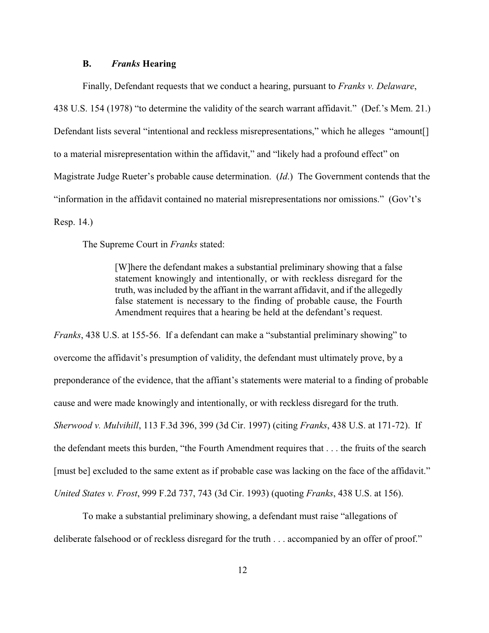#### **B.** *Franks* **Hearing**

Finally, Defendant requests that we conduct a hearing, pursuant to *Franks v. Delaware*, 438 U.S. 154 (1978) "to determine the validity of the search warrant affidavit." (Def.'s Mem. 21.) Defendant lists several "intentional and reckless misrepresentations," which he alleges "amount to a material misrepresentation within the affidavit," and "likely had a profound effect" on Magistrate Judge Rueter's probable cause determination. (*Id*.) The Government contends that the "information in the affidavit contained no material misrepresentations nor omissions." (Gov't's Resp. 14.)

The Supreme Court in *Franks* stated:

[W]here the defendant makes a substantial preliminary showing that a false statement knowingly and intentionally, or with reckless disregard for the truth, was included by the affiant in the warrant affidavit, and if the allegedly false statement is necessary to the finding of probable cause, the Fourth Amendment requires that a hearing be held at the defendant's request.

*Franks*, 438 U.S. at 155-56. If a defendant can make a "substantial preliminary showing" to overcome the affidavit's presumption of validity, the defendant must ultimately prove, by a preponderance of the evidence, that the affiant's statements were material to a finding of probable cause and were made knowingly and intentionally, or with reckless disregard for the truth. *Sherwood v. Mulvihill*, 113 F.3d 396, 399 (3d Cir. 1997) (citing *Franks*, 438 U.S. at 171-72). If the defendant meets this burden, "the Fourth Amendment requires that . . . the fruits of the search [must be] excluded to the same extent as if probable case was lacking on the face of the affidavit." *United States v. Frost*, 999 F.2d 737, 743 (3d Cir. 1993) (quoting *Franks*, 438 U.S. at 156).

To make a substantial preliminary showing, a defendant must raise "allegations of deliberate falsehood or of reckless disregard for the truth . . . accompanied by an offer of proof."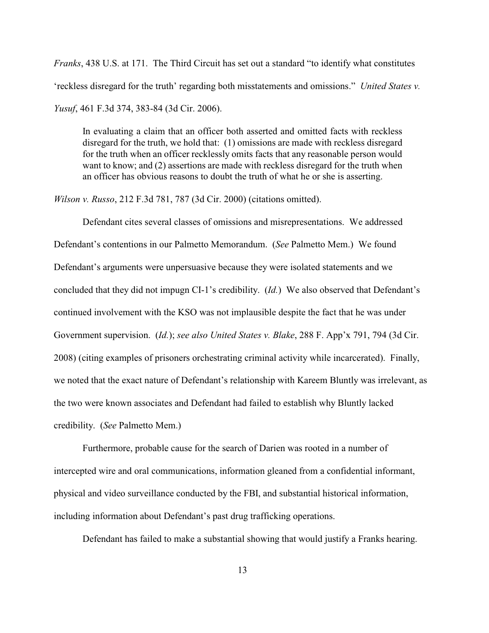*Franks*, 438 U.S. at 171. The Third Circuit has set out a standard "to identify what constitutes 'reckless disregard for the truth' regarding both misstatements and omissions." *United States v. Yusuf*, 461 F.3d 374, 383-84 (3d Cir. 2006).

In evaluating a claim that an officer both asserted and omitted facts with reckless disregard for the truth, we hold that: (1) omissions are made with reckless disregard for the truth when an officer recklessly omits facts that any reasonable person would want to know; and (2) assertions are made with reckless disregard for the truth when an officer has obvious reasons to doubt the truth of what he or she is asserting.

*Wilson v. Russo*, 212 F.3d 781, 787 (3d Cir. 2000) (citations omitted).

Defendant cites several classes of omissions and misrepresentations. We addressed Defendant's contentions in our Palmetto Memorandum. (*See* Palmetto Mem.) We found Defendant's arguments were unpersuasive because they were isolated statements and we concluded that they did not impugn CI-1's credibility. (*Id.*) We also observed that Defendant's continued involvement with the KSO was not implausible despite the fact that he was under Government supervision. (*Id.*); *see also United States v. Blake*, 288 F. App'x 791, 794 (3d Cir. 2008) (citing examples of prisoners orchestrating criminal activity while incarcerated). Finally, we noted that the exact nature of Defendant's relationship with Kareem Bluntly was irrelevant, as the two were known associates and Defendant had failed to establish why Bluntly lacked credibility. (*See* Palmetto Mem.)

Furthermore, probable cause for the search of Darien was rooted in a number of intercepted wire and oral communications, information gleaned from a confidential informant, physical and video surveillance conducted by the FBI, and substantial historical information, including information about Defendant's past drug trafficking operations.

Defendant has failed to make a substantial showing that would justify a Franks hearing.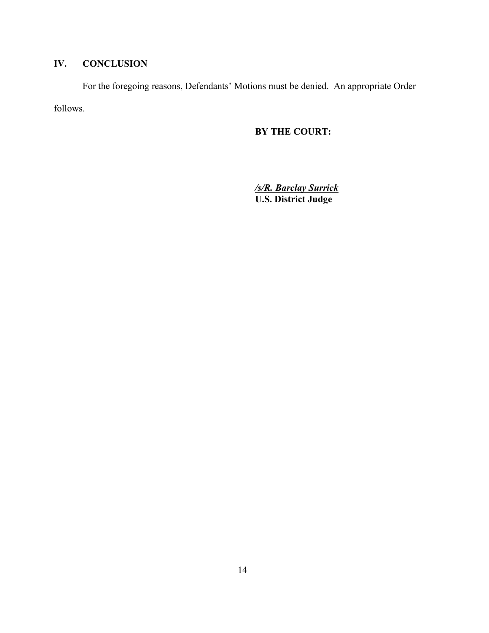# **IV. CONCLUSION**

For the foregoing reasons, Defendants' Motions must be denied. An appropriate Order follows.

## **BY THE COURT:**

*/s/R. Barclay Surrick* **U.S. District Judge**